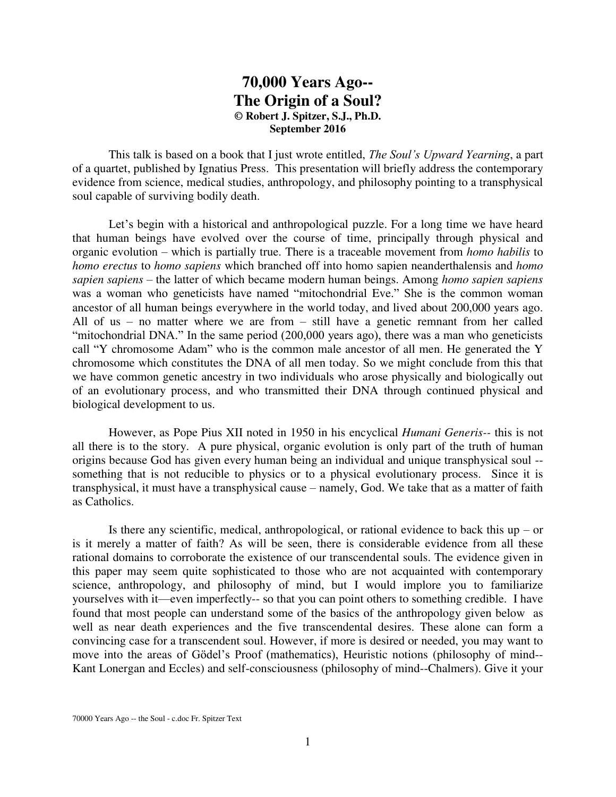# **70,000 Years Ago-- The Origin of a Soul? © Robert J. Spitzer, S.J., Ph.D. September 2016**

This talk is based on a book that I just wrote entitled, *The Soul's Upward Yearning*, a part of a quartet, published by Ignatius Press. This presentation will briefly address the contemporary evidence from science, medical studies, anthropology, and philosophy pointing to a transphysical soul capable of surviving bodily death.

Let's begin with a historical and anthropological puzzle. For a long time we have heard that human beings have evolved over the course of time, principally through physical and organic evolution – which is partially true. There is a traceable movement from *homo habilis* to *homo erectus* to *homo sapiens* which branched off into homo sapien neanderthalensis and *homo sapien sapiens* – the latter of which became modern human beings. Among *homo sapien sapiens* was a woman who geneticists have named "mitochondrial Eve." She is the common woman ancestor of all human beings everywhere in the world today, and lived about 200,000 years ago. All of us – no matter where we are from – still have a genetic remnant from her called "mitochondrial DNA." In the same period (200,000 years ago), there was a man who geneticists call "Y chromosome Adam" who is the common male ancestor of all men. He generated the Y chromosome which constitutes the DNA of all men today. So we might conclude from this that we have common genetic ancestry in two individuals who arose physically and biologically out of an evolutionary process, and who transmitted their DNA through continued physical and biological development to us.

 However, as Pope Pius XII noted in 1950 in his encyclical *Humani Generis--* this is not all there is to the story. A pure physical, organic evolution is only part of the truth of human origins because God has given every human being an individual and unique transphysical soul - something that is not reducible to physics or to a physical evolutionary process. Since it is transphysical, it must have a transphysical cause – namely, God. We take that as a matter of faith as Catholics.

Is there any scientific, medical, anthropological, or rational evidence to back this  $up - or$ is it merely a matter of faith? As will be seen, there is considerable evidence from all these rational domains to corroborate the existence of our transcendental souls. The evidence given in this paper may seem quite sophisticated to those who are not acquainted with contemporary science, anthropology, and philosophy of mind, but I would implore you to familiarize yourselves with it—even imperfectly-- so that you can point others to something credible. I have found that most people can understand some of the basics of the anthropology given below as well as near death experiences and the five transcendental desires. These alone can form a convincing case for a transcendent soul. However, if more is desired or needed, you may want to move into the areas of Gödel's Proof (mathematics), Heuristic notions (philosophy of mind-- Kant Lonergan and Eccles) and self-consciousness (philosophy of mind--Chalmers). Give it your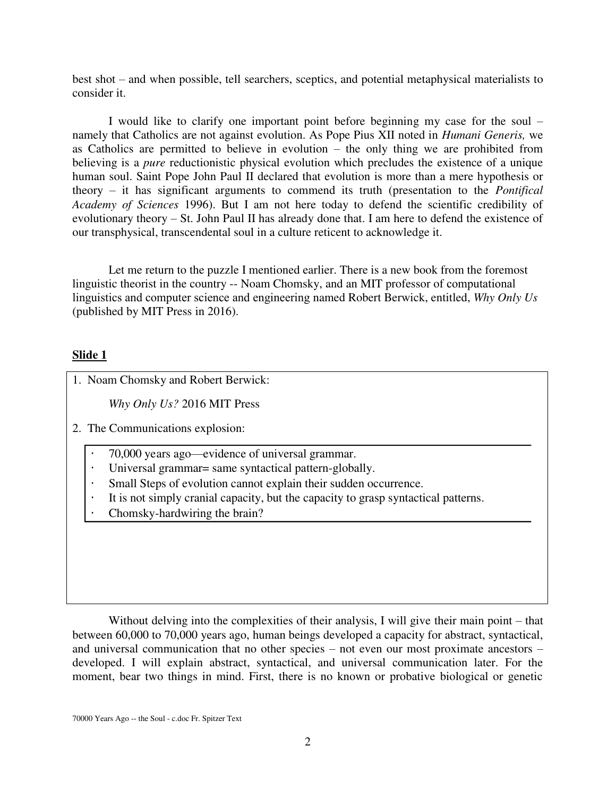best shot – and when possible, tell searchers, sceptics, and potential metaphysical materialists to consider it.

 I would like to clarify one important point before beginning my case for the soul – namely that Catholics are not against evolution. As Pope Pius XII noted in *Humani Generis,* we as Catholics are permitted to believe in evolution – the only thing we are prohibited from believing is a *pure* reductionistic physical evolution which precludes the existence of a unique human soul. Saint Pope John Paul II declared that evolution is more than a mere hypothesis or theory – it has significant arguments to commend its truth (presentation to the *Pontifical Academy of Sciences* 1996). But I am not here today to defend the scientific credibility of evolutionary theory – St. John Paul II has already done that. I am here to defend the existence of our transphysical, transcendental soul in a culture reticent to acknowledge it.

Let me return to the puzzle I mentioned earlier. There is a new book from the foremost linguistic theorist in the country -- Noam Chomsky, and an MIT professor of computational linguistics and computer science and engineering named Robert Berwick, entitled, *Why Only Us*  (published by MIT Press in 2016).

## **Slide 1**

1. Noam Chomsky and Robert Berwick:

 *Why Only Us?* 2016 MIT Press

2. The Communications explosion:

70,000 years ago—evidence of universal grammar. Universal grammar= same syntactical pattern-globally. Small Steps of evolution cannot explain their sudden occurrence. It is not simply cranial capacity, but the capacity to grasp syntactical patterns. Chomsky-hardwiring the brain?

Without delving into the complexities of their analysis, I will give their main point – that between 60,000 to 70,000 years ago, human beings developed a capacity for abstract, syntactical, and universal communication that no other species – not even our most proximate ancestors – developed. I will explain abstract, syntactical, and universal communication later. For the moment, bear two things in mind. First, there is no known or probative biological or genetic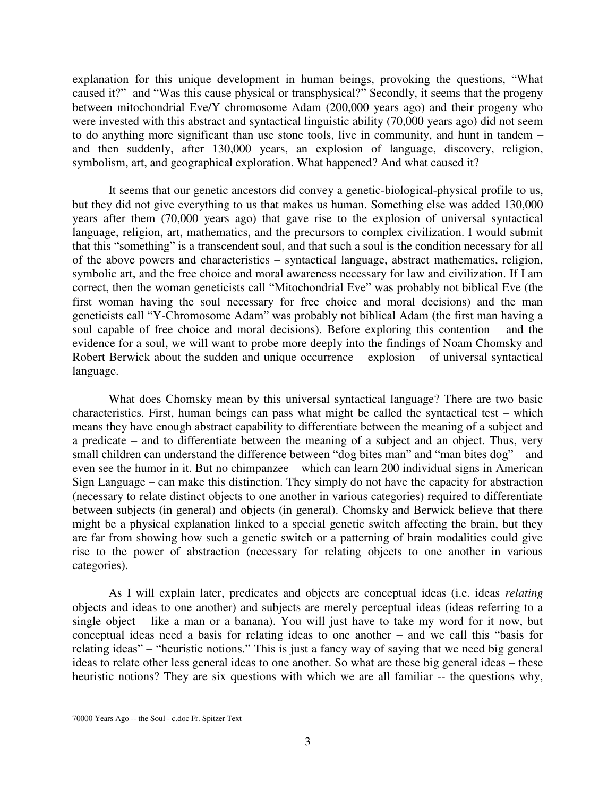explanation for this unique development in human beings, provoking the questions, "What caused it?" and "Was this cause physical or transphysical?" Secondly, it seems that the progeny between mitochondrial Eve/Y chromosome Adam (200,000 years ago) and their progeny who were invested with this abstract and syntactical linguistic ability (70,000 years ago) did not seem to do anything more significant than use stone tools, live in community, and hunt in tandem – and then suddenly, after 130,000 years, an explosion of language, discovery, religion, symbolism, art, and geographical exploration. What happened? And what caused it?

 It seems that our genetic ancestors did convey a genetic-biological-physical profile to us, but they did not give everything to us that makes us human. Something else was added 130,000 years after them (70,000 years ago) that gave rise to the explosion of universal syntactical language, religion, art, mathematics, and the precursors to complex civilization. I would submit that this "something" is a transcendent soul, and that such a soul is the condition necessary for all of the above powers and characteristics – syntactical language, abstract mathematics, religion, symbolic art, and the free choice and moral awareness necessary for law and civilization. If I am correct, then the woman geneticists call "Mitochondrial Eve" was probably not biblical Eve (the first woman having the soul necessary for free choice and moral decisions) and the man geneticists call "Y-Chromosome Adam" was probably not biblical Adam (the first man having a soul capable of free choice and moral decisions). Before exploring this contention – and the evidence for a soul, we will want to probe more deeply into the findings of Noam Chomsky and Robert Berwick about the sudden and unique occurrence – explosion – of universal syntactical language.

What does Chomsky mean by this universal syntactical language? There are two basic characteristics. First, human beings can pass what might be called the syntactical test – which means they have enough abstract capability to differentiate between the meaning of a subject and a predicate – and to differentiate between the meaning of a subject and an object. Thus, very small children can understand the difference between "dog bites man" and "man bites dog" – and even see the humor in it. But no chimpanzee – which can learn 200 individual signs in American Sign Language – can make this distinction. They simply do not have the capacity for abstraction (necessary to relate distinct objects to one another in various categories) required to differentiate between subjects (in general) and objects (in general). Chomsky and Berwick believe that there might be a physical explanation linked to a special genetic switch affecting the brain, but they are far from showing how such a genetic switch or a patterning of brain modalities could give rise to the power of abstraction (necessary for relating objects to one another in various categories).

As I will explain later, predicates and objects are conceptual ideas (i.e. ideas *relating* objects and ideas to one another) and subjects are merely perceptual ideas (ideas referring to a single object – like a man or a banana). You will just have to take my word for it now, but conceptual ideas need a basis for relating ideas to one another – and we call this "basis for relating ideas" – "heuristic notions." This is just a fancy way of saying that we need big general ideas to relate other less general ideas to one another. So what are these big general ideas – these heuristic notions? They are six questions with which we are all familiar -- the questions why,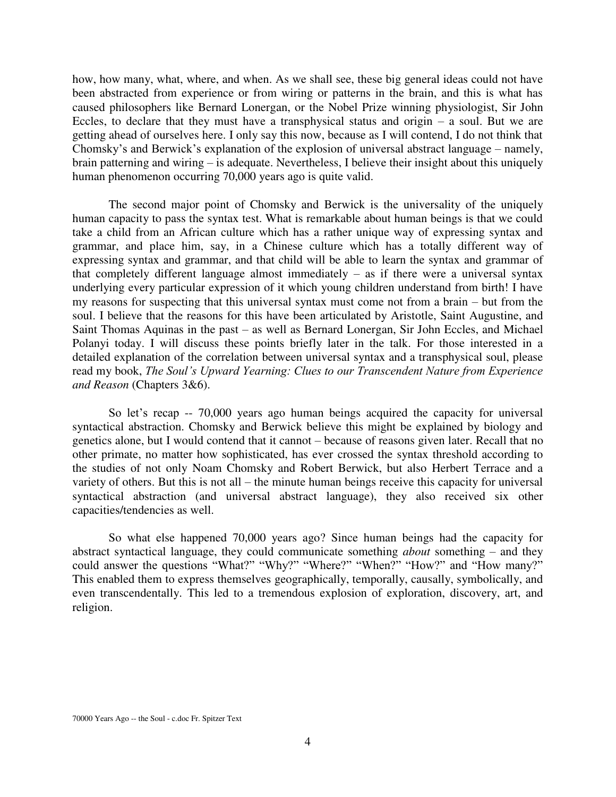how, how many, what, where, and when. As we shall see, these big general ideas could not have been abstracted from experience or from wiring or patterns in the brain, and this is what has caused philosophers like Bernard Lonergan, or the Nobel Prize winning physiologist, Sir John Eccles, to declare that they must have a transphysical status and origin  $-$  a soul. But we are getting ahead of ourselves here. I only say this now, because as I will contend, I do not think that Chomsky's and Berwick's explanation of the explosion of universal abstract language – namely, brain patterning and wiring – is adequate. Nevertheless, I believe their insight about this uniquely human phenomenon occurring 70,000 years ago is quite valid.

The second major point of Chomsky and Berwick is the universality of the uniquely human capacity to pass the syntax test. What is remarkable about human beings is that we could take a child from an African culture which has a rather unique way of expressing syntax and grammar, and place him, say, in a Chinese culture which has a totally different way of expressing syntax and grammar, and that child will be able to learn the syntax and grammar of that completely different language almost immediately – as if there were a universal syntax underlying every particular expression of it which young children understand from birth! I have my reasons for suspecting that this universal syntax must come not from a brain – but from the soul. I believe that the reasons for this have been articulated by Aristotle, Saint Augustine, and Saint Thomas Aquinas in the past – as well as Bernard Lonergan, Sir John Eccles, and Michael Polanyi today. I will discuss these points briefly later in the talk. For those interested in a detailed explanation of the correlation between universal syntax and a transphysical soul, please read my book, *The Soul's Upward Yearning: Clues to our Transcendent Nature from Experience and Reason* (Chapters 3&6).

So let's recap -- 70,000 years ago human beings acquired the capacity for universal syntactical abstraction. Chomsky and Berwick believe this might be explained by biology and genetics alone, but I would contend that it cannot – because of reasons given later. Recall that no other primate, no matter how sophisticated, has ever crossed the syntax threshold according to the studies of not only Noam Chomsky and Robert Berwick, but also Herbert Terrace and a variety of others. But this is not all – the minute human beings receive this capacity for universal syntactical abstraction (and universal abstract language), they also received six other capacities/tendencies as well.

So what else happened 70,000 years ago? Since human beings had the capacity for abstract syntactical language, they could communicate something *about* something – and they could answer the questions "What?" "Why?" "Where?" "When?" "How?" and "How many?" This enabled them to express themselves geographically, temporally, causally, symbolically, and even transcendentally. This led to a tremendous explosion of exploration, discovery, art, and religion.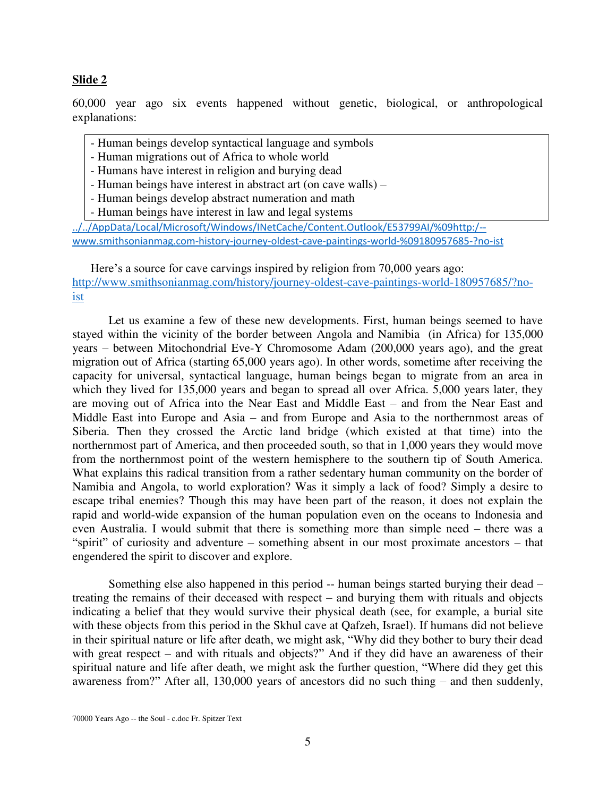#### **Slide 2**

60,000 year ago six events happened without genetic, biological, or anthropological explanations:

- Human beings develop syntactical language and symbols
- Human migrations out of Africa to whole world
- Humans have interest in religion and burying dead
- Human beings have interest in abstract art (on cave walls) –
- Human beings develop abstract numeration and math
- Human beings have interest in law and legal systems

[../../AppData/Local/Microsoft/Windows/INetCache/Content.Outlook/E53799AI/%09http:/-](../../AppData/Local/Microsoft/Windows/INetCache/Content.Outlook/E53799AI/%09http:/--www.smithsonianmag.com-history-journey-oldest-cave-paintings-world-%09180957685-?no-ist) [www.smithsonianmag.com-history-journey-oldest-cave-paintings-world-%09180957685-?no-ist](../../AppData/Local/Microsoft/Windows/INetCache/Content.Outlook/E53799AI/%09http:/--www.smithsonianmag.com-history-journey-oldest-cave-paintings-world-%09180957685-?no-ist)

Here's a source for cave carvings inspired by religion from 70,000 years ago: [http://www.smithsonianmag.com/history/journey-oldest-cave-paintings-world-180957685/?no](http://www.smithsonianmag.com/history/journey-oldest-cave-paintings-world-180957685/?no-ist)[ist](http://www.smithsonianmag.com/history/journey-oldest-cave-paintings-world-180957685/?no-ist)

 Let us examine a few of these new developments. First, human beings seemed to have stayed within the vicinity of the border between Angola and Namibia (in Africa) for 135,000 years – between Mitochondrial Eve-Y Chromosome Adam (200,000 years ago), and the great migration out of Africa (starting 65,000 years ago). In other words, sometime after receiving the capacity for universal, syntactical language, human beings began to migrate from an area in which they lived for 135,000 years and began to spread all over Africa. 5,000 years later, they are moving out of Africa into the Near East and Middle East – and from the Near East and Middle East into Europe and Asia – and from Europe and Asia to the northernmost areas of Siberia. Then they crossed the Arctic land bridge (which existed at that time) into the northernmost part of America, and then proceeded south, so that in 1,000 years they would move from the northernmost point of the western hemisphere to the southern tip of South America. What explains this radical transition from a rather sedentary human community on the border of Namibia and Angola, to world exploration? Was it simply a lack of food? Simply a desire to escape tribal enemies? Though this may have been part of the reason, it does not explain the rapid and world-wide expansion of the human population even on the oceans to Indonesia and even Australia. I would submit that there is something more than simple need – there was a "spirit" of curiosity and adventure – something absent in our most proximate ancestors – that engendered the spirit to discover and explore.

Something else also happened in this period -- human beings started burying their dead – treating the remains of their deceased with respect – and burying them with rituals and objects indicating a belief that they would survive their physical death (see, for example, a burial site with these objects from this period in the Skhul cave at Qafzeh, Israel). If humans did not believe in their spiritual nature or life after death, we might ask, "Why did they bother to bury their dead with great respect – and with rituals and objects?" And if they did have an awareness of their spiritual nature and life after death, we might ask the further question, "Where did they get this awareness from?" After all, 130,000 years of ancestors did no such thing – and then suddenly,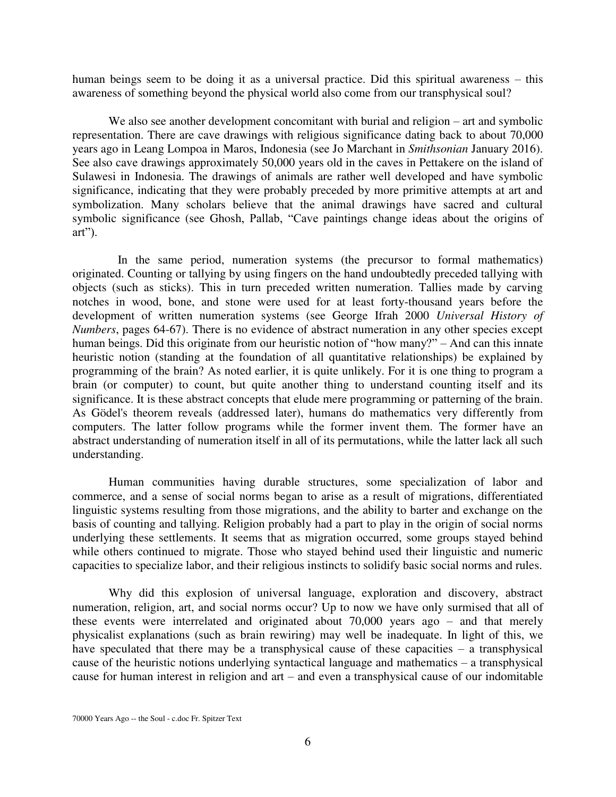human beings seem to be doing it as a universal practice. Did this spiritual awareness – this awareness of something beyond the physical world also come from our transphysical soul?

We also see another development concomitant with burial and religion – art and symbolic representation. There are cave drawings with religious significance dating back to about 70,000 years ago in Leang Lompoa in Maros, Indonesia (see Jo Marchant in *Smithsonian* January 2016). See also cave drawings approximately 50,000 years old in the caves in Pettakere on the island of Sulawesi in Indonesia. The drawings of animals are rather well developed and have symbolic significance, indicating that they were probably preceded by more primitive attempts at art and symbolization. Many scholars believe that the animal drawings have sacred and cultural symbolic significance (see Ghosh, Pallab, "Cave paintings change ideas about the origins of art").

 In the same period, numeration systems (the precursor to formal mathematics) originated. Counting or tallying by using fingers on the hand undoubtedly preceded tallying with objects (such as sticks). This in turn preceded written numeration. Tallies made by carving notches in wood, bone, and stone were used for at least forty-thousand years before the development of written numeration systems (see George Ifrah 2000 *Universal History of Numbers*, pages 64-67). There is no evidence of abstract numeration in any other species except human beings. Did this originate from our heuristic notion of "how many?" – And can this innate heuristic notion (standing at the foundation of all quantitative relationships) be explained by programming of the brain? As noted earlier, it is quite unlikely. For it is one thing to program a brain (or computer) to count, but quite another thing to understand counting itself and its significance. It is these abstract concepts that elude mere programming or patterning of the brain. As Gödel's theorem reveals (addressed later), humans do mathematics very differently from computers. The latter follow programs while the former invent them. The former have an abstract understanding of numeration itself in all of its permutations, while the latter lack all such understanding.

Human communities having durable structures, some specialization of labor and commerce, and a sense of social norms began to arise as a result of migrations, differentiated linguistic systems resulting from those migrations, and the ability to barter and exchange on the basis of counting and tallying. Religion probably had a part to play in the origin of social norms underlying these settlements. It seems that as migration occurred, some groups stayed behind while others continued to migrate. Those who stayed behind used their linguistic and numeric capacities to specialize labor, and their religious instincts to solidify basic social norms and rules.

Why did this explosion of universal language, exploration and discovery, abstract numeration, religion, art, and social norms occur? Up to now we have only surmised that all of these events were interrelated and originated about 70,000 years ago – and that merely physicalist explanations (such as brain rewiring) may well be inadequate. In light of this, we have speculated that there may be a transphysical cause of these capacities – a transphysical cause of the heuristic notions underlying syntactical language and mathematics – a transphysical cause for human interest in religion and art – and even a transphysical cause of our indomitable

<sup>70000</sup> Years Ago -- the Soul - c.doc Fr. Spitzer Text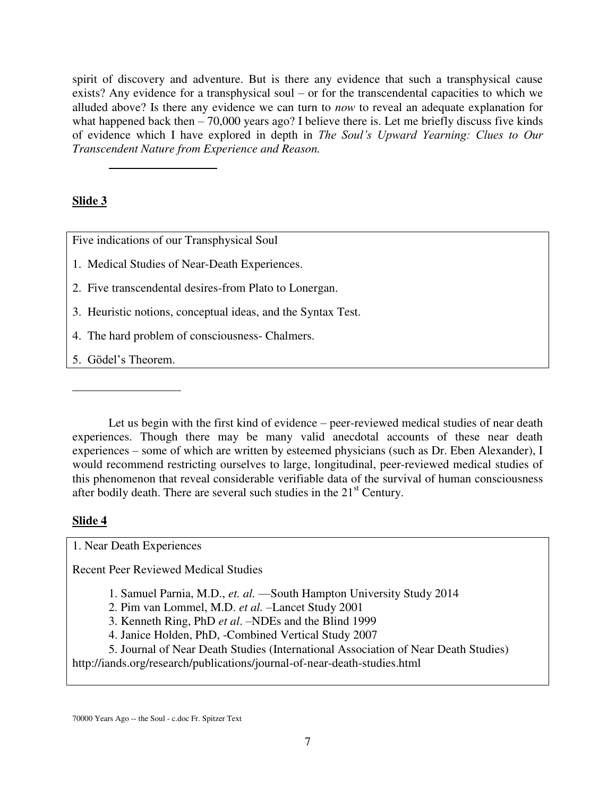spirit of discovery and adventure. But is there any evidence that such a transphysical cause exists? Any evidence for a transphysical soul – or for the transcendental capacities to which we alluded above? Is there any evidence we can turn to *now* to reveal an adequate explanation for what happened back then – 70,000 years ago? I believe there is. Let me briefly discuss five kinds of evidence which I have explored in depth in *The Soul's Upward Yearning: Clues to Our Transcendent Nature from Experience and Reason.* 

## **Slide 3**

 $\overline{a}$ 

Five indications of our Transphysical Soul

1. Medical Studies of Near-Death Experiences.

2. Five transcendental desires-from Plato to Lonergan.

- 3. Heuristic notions, conceptual ideas, and the Syntax Test.
- 4. The hard problem of consciousness- Chalmers.

5. Gödel's Theorem.

 Let us begin with the first kind of evidence – peer-reviewed medical studies of near death experiences. Though there may be many valid anecdotal accounts of these near death experiences – some of which are written by esteemed physicians (such as Dr. Eben Alexander), I would recommend restricting ourselves to large, longitudinal, peer-reviewed medical studies of this phenomenon that reveal considerable verifiable data of the survival of human consciousness after bodily death. There are several such studies in the  $21<sup>st</sup>$  Century.

## **Slide 4**

 $\overline{a}$ 

1. Near Death Experiences

Recent Peer Reviewed Medical Studies

- 1. Samuel Parnia, M.D., *et. al.* —South Hampton University Study 2014
- 2. Pim van Lommel, M.D. *et al.* –Lancet Study 2001
- 3. Kenneth Ring, PhD *et al*. –NDEs and the Blind 1999
- 4. Janice Holden, PhD, -Combined Vertical Study 2007

 5. Journal of Near Death Studies (International Association of Near Death Studies) http://iands.org/research/publications/journal-of-near-death-studies.html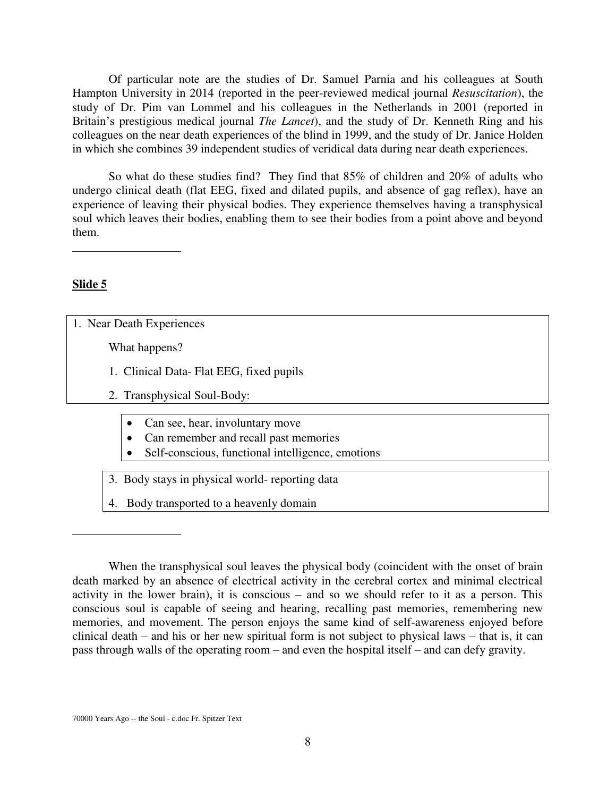Of particular note are the studies of Dr. Samuel Parnia and his colleagues at South Hampton University in 2014 (reported in the peer-reviewed medical journal *Resuscitation*), the study of Dr. Pim van Lommel and his colleagues in the Netherlands in 2001 (reported in Britain's prestigious medical journal *The Lancet*), and the study of Dr. Kenneth Ring and his colleagues on the near death experiences of the blind in 1999, and the study of Dr. Janice Holden in which she combines 39 independent studies of veridical data during near death experiences.

 So what do these studies find? They find that 85% of children and 20% of adults who undergo clinical death (flat EEG, fixed and dilated pupils, and absence of gag reflex), have an experience of leaving their physical bodies. They experience themselves having a transphysical soul which leaves their bodies, enabling them to see their bodies from a point above and beyond them.

 $\overline{a}$ 

## **Slide 5**

 $\overline{a}$ 

1. Near Death Experiences

What happens?

- 1. Clinical Data- Flat EEG, fixed pupils
- 2. Transphysical Soul-Body:
	- Can see, hear, involuntary move
	- Can remember and recall past memories
	- Self-conscious, functional intelligence, emotions
- 3. Body stays in physical world- reporting data
- 4. Body transported to a heavenly domain

When the transphysical soul leaves the physical body (coincident with the onset of brain death marked by an absence of electrical activity in the cerebral cortex and minimal electrical activity in the lower brain), it is conscious – and so we should refer to it as a person. This conscious soul is capable of seeing and hearing, recalling past memories, remembering new memories, and movement. The person enjoys the same kind of self-awareness enjoyed before clinical death – and his or her new spiritual form is not subject to physical laws – that is, it can pass through walls of the operating room – and even the hospital itself – and can defy gravity.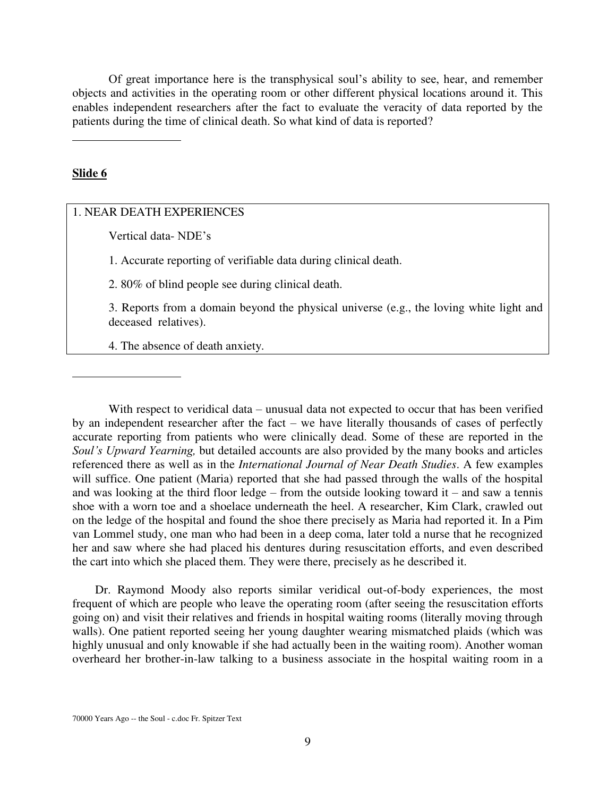Of great importance here is the transphysical soul's ability to see, hear, and remember objects and activities in the operating room or other different physical locations around it. This enables independent researchers after the fact to evaluate the veracity of data reported by the patients during the time of clinical death. So what kind of data is reported?

#### **Slide 6**

 $\overline{a}$ 

 $\overline{a}$ 

## 1. NEAR DEATH EXPERIENCES

Vertical data- NDE's

1. Accurate reporting of verifiable data during clinical death.

2. 80% of blind people see during clinical death.

 3. Reports from a domain beyond the physical universe (e.g., the loving white light and deceased relatives).

4. The absence of death anxiety.

With respect to veridical data – unusual data not expected to occur that has been verified by an independent researcher after the fact – we have literally thousands of cases of perfectly accurate reporting from patients who were clinically dead. Some of these are reported in the *Soul's Upward Yearning,* but detailed accounts are also provided by the many books and articles referenced there as well as in the *International Journal of Near Death Studies*. A few examples will suffice. One patient (Maria) reported that she had passed through the walls of the hospital and was looking at the third floor ledge – from the outside looking toward it – and saw a tennis shoe with a worn toe and a shoelace underneath the heel. A researcher, Kim Clark, crawled out on the ledge of the hospital and found the shoe there precisely as Maria had reported it. In a Pim van Lommel study, one man who had been in a deep coma, later told a nurse that he recognized her and saw where she had placed his dentures during resuscitation efforts, and even described the cart into which she placed them. They were there, precisely as he described it.

Dr. Raymond Moody also reports similar veridical out-of-body experiences, the most frequent of which are people who leave the operating room (after seeing the resuscitation efforts going on) and visit their relatives and friends in hospital waiting rooms (literally moving through walls). One patient reported seeing her young daughter wearing mismatched plaids (which was highly unusual and only knowable if she had actually been in the waiting room). Another woman overheard her brother-in-law talking to a business associate in the hospital waiting room in a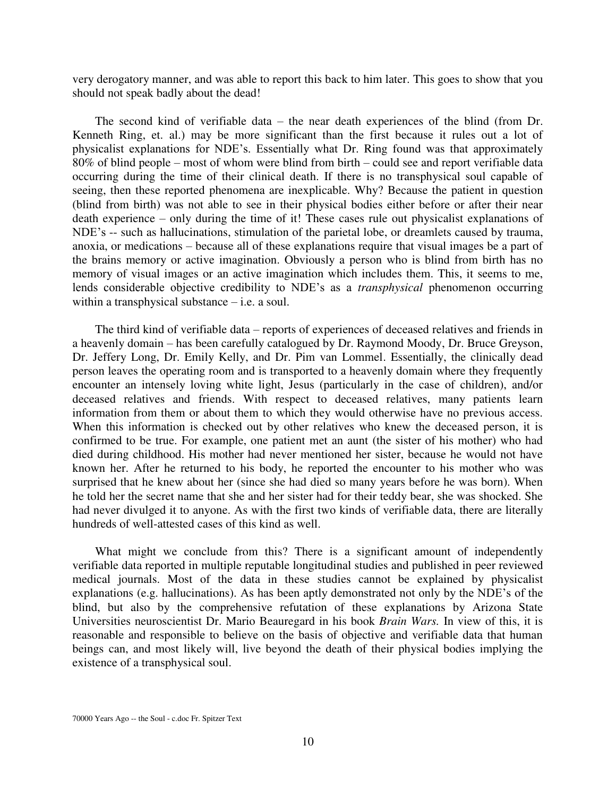very derogatory manner, and was able to report this back to him later. This goes to show that you should not speak badly about the dead!

The second kind of verifiable data – the near death experiences of the blind (from Dr. Kenneth Ring, et. al.) may be more significant than the first because it rules out a lot of physicalist explanations for NDE's. Essentially what Dr. Ring found was that approximately 80% of blind people – most of whom were blind from birth – could see and report verifiable data occurring during the time of their clinical death. If there is no transphysical soul capable of seeing, then these reported phenomena are inexplicable. Why? Because the patient in question (blind from birth) was not able to see in their physical bodies either before or after their near death experience – only during the time of it! These cases rule out physicalist explanations of NDE's -- such as hallucinations, stimulation of the parietal lobe, or dreamlets caused by trauma, anoxia, or medications – because all of these explanations require that visual images be a part of the brains memory or active imagination. Obviously a person who is blind from birth has no memory of visual images or an active imagination which includes them. This, it seems to me, lends considerable objective credibility to NDE's as a *transphysical* phenomenon occurring within a transphysical substance – i.e. a soul.

The third kind of verifiable data – reports of experiences of deceased relatives and friends in a heavenly domain – has been carefully catalogued by Dr. Raymond Moody, Dr. Bruce Greyson, Dr. Jeffery Long, Dr. Emily Kelly, and Dr. Pim van Lommel. Essentially, the clinically dead person leaves the operating room and is transported to a heavenly domain where they frequently encounter an intensely loving white light, Jesus (particularly in the case of children), and/or deceased relatives and friends. With respect to deceased relatives, many patients learn information from them or about them to which they would otherwise have no previous access. When this information is checked out by other relatives who knew the deceased person, it is confirmed to be true. For example, one patient met an aunt (the sister of his mother) who had died during childhood. His mother had never mentioned her sister, because he would not have known her. After he returned to his body, he reported the encounter to his mother who was surprised that he knew about her (since she had died so many years before he was born). When he told her the secret name that she and her sister had for their teddy bear, she was shocked. She had never divulged it to anyone. As with the first two kinds of verifiable data, there are literally hundreds of well-attested cases of this kind as well.

What might we conclude from this? There is a significant amount of independently verifiable data reported in multiple reputable longitudinal studies and published in peer reviewed medical journals. Most of the data in these studies cannot be explained by physicalist explanations (e.g. hallucinations). As has been aptly demonstrated not only by the NDE's of the blind, but also by the comprehensive refutation of these explanations by Arizona State Universities neuroscientist Dr. Mario Beauregard in his book *Brain Wars.* In view of this, it is reasonable and responsible to believe on the basis of objective and verifiable data that human beings can, and most likely will, live beyond the death of their physical bodies implying the existence of a transphysical soul.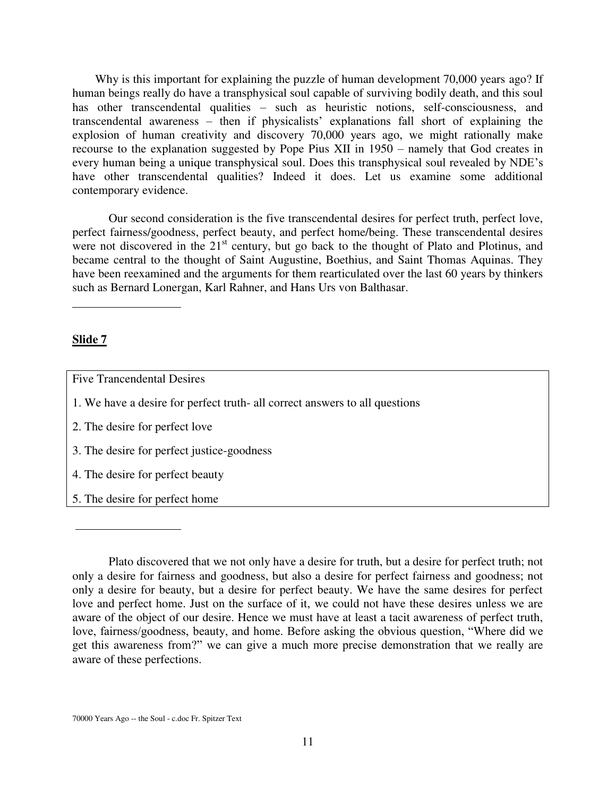Why is this important for explaining the puzzle of human development 70,000 years ago? If human beings really do have a transphysical soul capable of surviving bodily death, and this soul has other transcendental qualities – such as heuristic notions, self-consciousness, and transcendental awareness – then if physicalists' explanations fall short of explaining the explosion of human creativity and discovery 70,000 years ago, we might rationally make recourse to the explanation suggested by Pope Pius XII in 1950 – namely that God creates in every human being a unique transphysical soul. Does this transphysical soul revealed by NDE's have other transcendental qualities? Indeed it does. Let us examine some additional contemporary evidence.

Our second consideration is the five transcendental desires for perfect truth, perfect love, perfect fairness/goodness, perfect beauty, and perfect home/being. These transcendental desires were not discovered in the 21<sup>st</sup> century, but go back to the thought of Plato and Plotinus, and became central to the thought of Saint Augustine, Boethius, and Saint Thomas Aquinas. They have been reexamined and the arguments for them rearticulated over the last 60 years by thinkers such as Bernard Lonergan, Karl Rahner, and Hans Urs von Balthasar.

#### **Slide 7**

 $\overline{a}$ 

Five Trancendental Desires

- 1. We have a desire for perfect truth- all correct answers to all questions
- 2. The desire for perfect love
- 3. The desire for perfect justice-goodness
- 4. The desire for perfect beauty
- 5. The desire for perfect home

Plato discovered that we not only have a desire for truth, but a desire for perfect truth; not only a desire for fairness and goodness, but also a desire for perfect fairness and goodness; not only a desire for beauty, but a desire for perfect beauty. We have the same desires for perfect love and perfect home. Just on the surface of it, we could not have these desires unless we are aware of the object of our desire. Hence we must have at least a tacit awareness of perfect truth, love, fairness/goodness, beauty, and home. Before asking the obvious question, "Where did we get this awareness from?" we can give a much more precise demonstration that we really are aware of these perfections.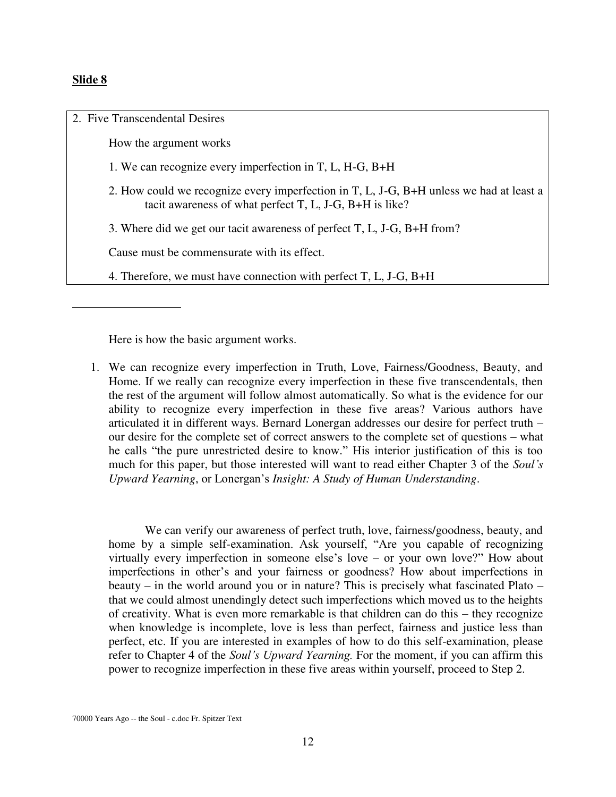#### **Slide 8**

2. Five Transcendental Desires How the argument works 1. We can recognize every imperfection in T, L, H-G, B+H 2. How could we recognize every imperfection in T, L, J-G, B+H unless we had at least a tacit awareness of what perfect T, L, J-G, B+H is like? 3. Where did we get our tacit awareness of perfect T, L, J-G, B+H from? Cause must be commensurate with its effect. 4. Therefore, we must have connection with perfect T, L, J-G, B+H  $\overline{a}$ 

Here is how the basic argument works.

1. We can recognize every imperfection in Truth, Love, Fairness/Goodness, Beauty, and Home. If we really can recognize every imperfection in these five transcendentals, then the rest of the argument will follow almost automatically. So what is the evidence for our ability to recognize every imperfection in these five areas? Various authors have articulated it in different ways. Bernard Lonergan addresses our desire for perfect truth – our desire for the complete set of correct answers to the complete set of questions – what he calls "the pure unrestricted desire to know." His interior justification of this is too much for this paper, but those interested will want to read either Chapter 3 of the *Soul's Upward Yearning*, or Lonergan's *Insight: A Study of Human Understanding*.

We can verify our awareness of perfect truth, love, fairness/goodness, beauty, and home by a simple self-examination. Ask yourself, "Are you capable of recognizing virtually every imperfection in someone else's love – or your own love?" How about imperfections in other's and your fairness or goodness? How about imperfections in beauty – in the world around you or in nature? This is precisely what fascinated Plato – that we could almost unendingly detect such imperfections which moved us to the heights of creativity. What is even more remarkable is that children can do this – they recognize when knowledge is incomplete, love is less than perfect, fairness and justice less than perfect, etc. If you are interested in examples of how to do this self-examination, please refer to Chapter 4 of the *Soul's Upward Yearning.* For the moment, if you can affirm this power to recognize imperfection in these five areas within yourself, proceed to Step 2.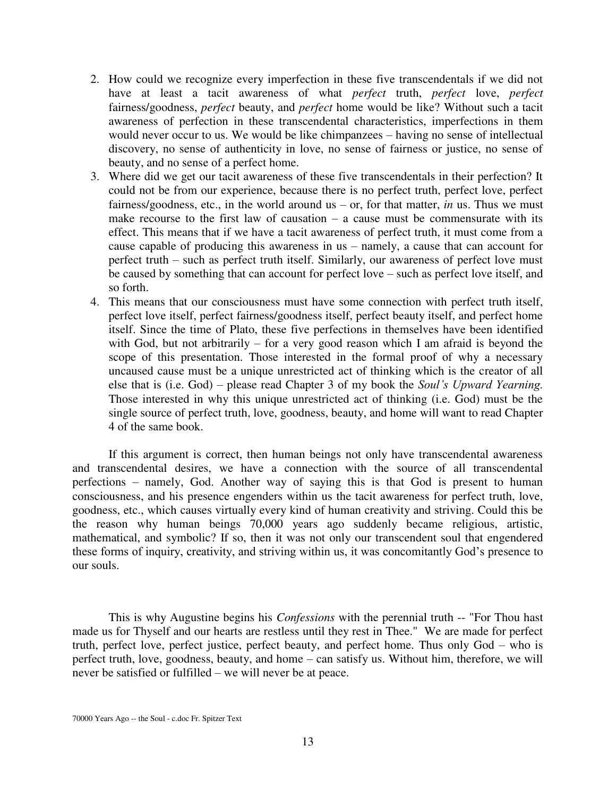- 2. How could we recognize every imperfection in these five transcendentals if we did not have at least a tacit awareness of what *perfect* truth, *perfect* love, *perfect* fairness/goodness, *perfect* beauty, and *perfect* home would be like? Without such a tacit awareness of perfection in these transcendental characteristics, imperfections in them would never occur to us. We would be like chimpanzees – having no sense of intellectual discovery, no sense of authenticity in love, no sense of fairness or justice, no sense of beauty, and no sense of a perfect home.
- 3. Where did we get our tacit awareness of these five transcendentals in their perfection? It could not be from our experience, because there is no perfect truth, perfect love, perfect fairness/goodness, etc., in the world around us – or, for that matter, *in* us. Thus we must make recourse to the first law of causation  $-$  a cause must be commensurate with its effect. This means that if we have a tacit awareness of perfect truth, it must come from a cause capable of producing this awareness in us – namely, a cause that can account for perfect truth – such as perfect truth itself. Similarly, our awareness of perfect love must be caused by something that can account for perfect love – such as perfect love itself, and so forth.
- 4. This means that our consciousness must have some connection with perfect truth itself, perfect love itself, perfect fairness/goodness itself, perfect beauty itself, and perfect home itself. Since the time of Plato, these five perfections in themselves have been identified with God, but not arbitrarily – for a very good reason which I am afraid is beyond the scope of this presentation. Those interested in the formal proof of why a necessary uncaused cause must be a unique unrestricted act of thinking which is the creator of all else that is (i.e. God) – please read Chapter 3 of my book the *Soul's Upward Yearning.* Those interested in why this unique unrestricted act of thinking (i.e. God) must be the single source of perfect truth, love, goodness, beauty, and home will want to read Chapter 4 of the same book.

If this argument is correct, then human beings not only have transcendental awareness and transcendental desires, we have a connection with the source of all transcendental perfections – namely, God. Another way of saying this is that God is present to human consciousness, and his presence engenders within us the tacit awareness for perfect truth, love, goodness, etc., which causes virtually every kind of human creativity and striving. Could this be the reason why human beings 70,000 years ago suddenly became religious, artistic, mathematical, and symbolic? If so, then it was not only our transcendent soul that engendered these forms of inquiry, creativity, and striving within us, it was concomitantly God's presence to our souls.

This is why Augustine begins his *Confessions* with the perennial truth -- "For Thou hast made us for Thyself and our hearts are restless until they rest in Thee." We are made for perfect truth, perfect love, perfect justice, perfect beauty, and perfect home. Thus only God – who is perfect truth, love, goodness, beauty, and home – can satisfy us. Without him, therefore, we will never be satisfied or fulfilled – we will never be at peace.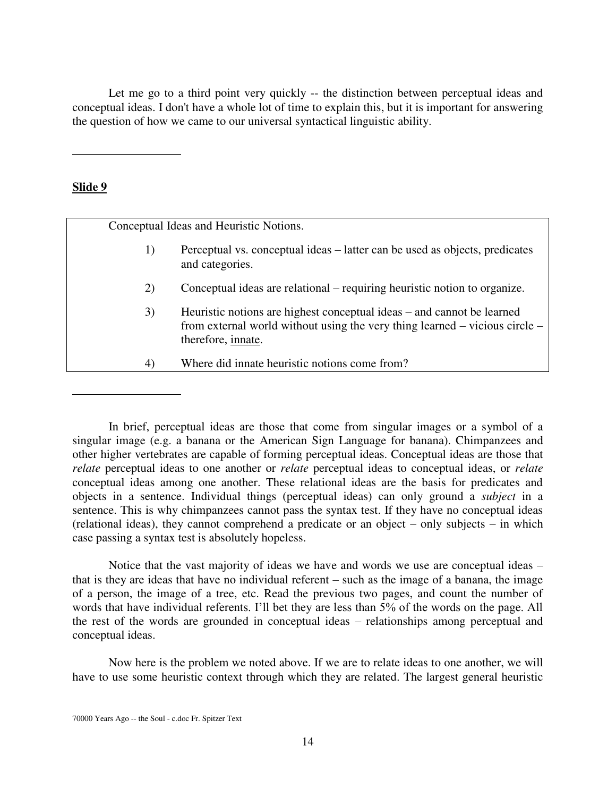Let me go to a third point very quickly -- the distinction between perceptual ideas and conceptual ideas. I don't have a whole lot of time to explain this, but it is important for answering the question of how we came to our universal syntactical linguistic ability.

### **Slide 9**

 $\overline{a}$ 

 $\overline{a}$ 

Conceptual Ideas and Heuristic Notions.

- 1) Perceptual vs. conceptual ideas latter can be used as objects, predicates and categories.
- 2) Conceptual ideas are relational requiring heuristic notion to organize.
- 3) Heuristic notions are highest conceptual ideas and cannot be learned from external world without using the very thing learned – vicious circle – therefore, innate.
- 4) Where did innate heuristic notions come from?

 In brief, perceptual ideas are those that come from singular images or a symbol of a singular image (e.g. a banana or the American Sign Language for banana). Chimpanzees and other higher vertebrates are capable of forming perceptual ideas. Conceptual ideas are those that *relate* perceptual ideas to one another or *relate* perceptual ideas to conceptual ideas, or *relate* conceptual ideas among one another. These relational ideas are the basis for predicates and objects in a sentence. Individual things (perceptual ideas) can only ground a *subject* in a sentence. This is why chimpanzees cannot pass the syntax test. If they have no conceptual ideas (relational ideas), they cannot comprehend a predicate or an object – only subjects – in which case passing a syntax test is absolutely hopeless.

 Notice that the vast majority of ideas we have and words we use are conceptual ideas – that is they are ideas that have no individual referent – such as the image of a banana, the image of a person, the image of a tree, etc. Read the previous two pages, and count the number of words that have individual referents. I'll bet they are less than 5% of the words on the page. All the rest of the words are grounded in conceptual ideas – relationships among perceptual and conceptual ideas.

Now here is the problem we noted above. If we are to relate ideas to one another, we will have to use some heuristic context through which they are related. The largest general heuristic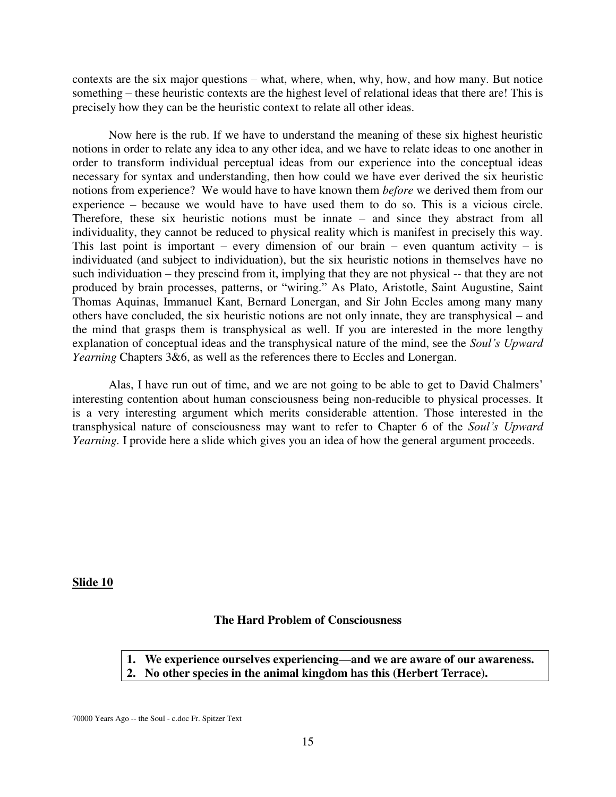contexts are the six major questions – what, where, when, why, how, and how many. But notice something – these heuristic contexts are the highest level of relational ideas that there are! This is precisely how they can be the heuristic context to relate all other ideas.

Now here is the rub. If we have to understand the meaning of these six highest heuristic notions in order to relate any idea to any other idea, and we have to relate ideas to one another in order to transform individual perceptual ideas from our experience into the conceptual ideas necessary for syntax and understanding, then how could we have ever derived the six heuristic notions from experience? We would have to have known them *before* we derived them from our experience – because we would have to have used them to do so. This is a vicious circle. Therefore, these six heuristic notions must be innate – and since they abstract from all individuality, they cannot be reduced to physical reality which is manifest in precisely this way. This last point is important – every dimension of our brain – even quantum activity – is individuated (and subject to individuation), but the six heuristic notions in themselves have no such individuation – they prescind from it, implying that they are not physical -- that they are not produced by brain processes, patterns, or "wiring." As Plato, Aristotle, Saint Augustine, Saint Thomas Aquinas, Immanuel Kant, Bernard Lonergan, and Sir John Eccles among many many others have concluded, the six heuristic notions are not only innate, they are transphysical – and the mind that grasps them is transphysical as well. If you are interested in the more lengthy explanation of conceptual ideas and the transphysical nature of the mind, see the *Soul's Upward Yearning* Chapters 3&6, as well as the references there to Eccles and Lonergan.

Alas, I have run out of time, and we are not going to be able to get to David Chalmers' interesting contention about human consciousness being non-reducible to physical processes. It is a very interesting argument which merits considerable attention. Those interested in the transphysical nature of consciousness may want to refer to Chapter 6 of the *Soul's Upward Yearning.* I provide here a slide which gives you an idea of how the general argument proceeds.

#### **Slide 10**

## **The Hard Problem of Consciousness**

- **1. We experience ourselves experiencing—and we are aware of our awareness.**
- **2. No other species in the animal kingdom has this (Herbert Terrace).**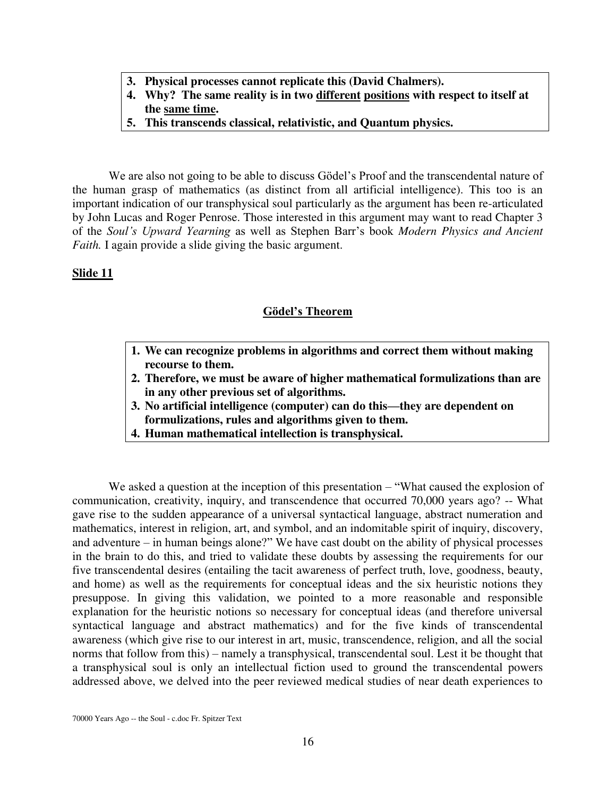- **3. Physical processes cannot replicate this (David Chalmers).**
- **4. Why? The same reality is in two different positions with respect to itself at the same time.**
- **5. This transcends classical, relativistic, and Quantum physics.**

We are also not going to be able to discuss Gödel's Proof and the transcendental nature of the human grasp of mathematics (as distinct from all artificial intelligence). This too is an important indication of our transphysical soul particularly as the argument has been re-articulated by John Lucas and Roger Penrose. Those interested in this argument may want to read Chapter 3 of the *Soul's Upward Yearning* as well as Stephen Barr's book *Modern Physics and Ancient Faith.* I again provide a slide giving the basic argument.

## **Slide 11**

## **Gödel's Theorem**

- **1. We can recognize problems in algorithms and correct them without making recourse to them.**
- **2. Therefore, we must be aware of higher mathematical formulizations than are in any other previous set of algorithms.**
- **3. No artificial intelligence (computer) can do this—they are dependent on formulizations, rules and algorithms given to them.**
- **4. Human mathematical intellection is transphysical.**

We asked a question at the inception of this presentation – "What caused the explosion of communication, creativity, inquiry, and transcendence that occurred 70,000 years ago? -- What gave rise to the sudden appearance of a universal syntactical language, abstract numeration and mathematics, interest in religion, art, and symbol, and an indomitable spirit of inquiry, discovery, and adventure – in human beings alone?" We have cast doubt on the ability of physical processes in the brain to do this, and tried to validate these doubts by assessing the requirements for our five transcendental desires (entailing the tacit awareness of perfect truth, love, goodness, beauty, and home) as well as the requirements for conceptual ideas and the six heuristic notions they presuppose. In giving this validation, we pointed to a more reasonable and responsible explanation for the heuristic notions so necessary for conceptual ideas (and therefore universal syntactical language and abstract mathematics) and for the five kinds of transcendental awareness (which give rise to our interest in art, music, transcendence, religion, and all the social norms that follow from this) – namely a transphysical, transcendental soul. Lest it be thought that a transphysical soul is only an intellectual fiction used to ground the transcendental powers addressed above, we delved into the peer reviewed medical studies of near death experiences to